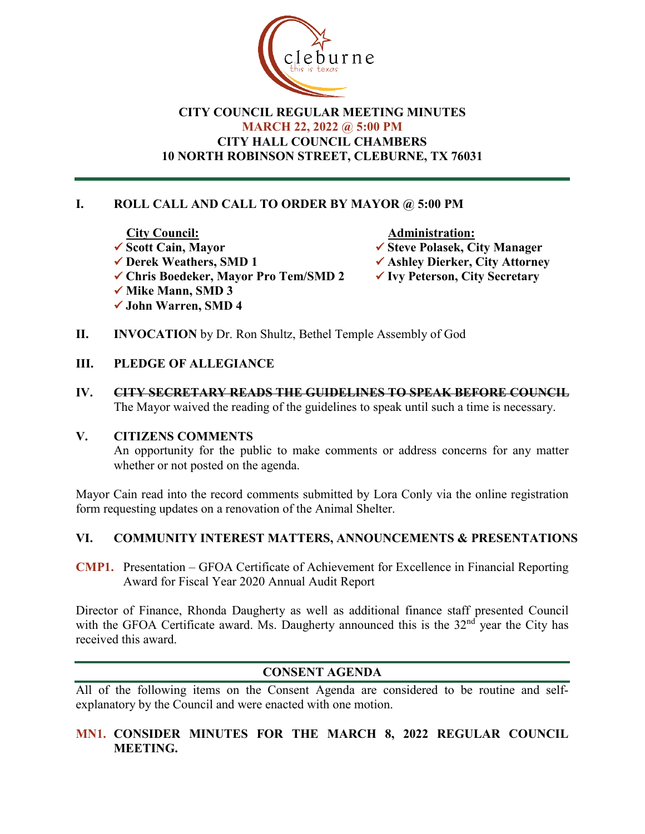

# **CITY COUNCIL REGULAR MEETING MINUTES MARCH 22, 2022 @ 5:00 PM CITY HALL COUNCIL CHAMBERS 10 NORTH ROBINSON STREET, CLEBURNE, TX 76031**

# **I. ROLL CALL AND CALL TO ORDER BY MAYOR @ 5:00 PM**

- City Council:<br>
<del>◆ Scott</del> Cain, Mayor<br>
→ Steve Polasek, Ci **V** Scott Cain, Mayor<br>
★ Steve Polasek, City Manager<br>
★ Ashley Dierker, City Attorne
	- **V** Ashley Dierker, City Attorney<br>**V** Ivy Peterson, City Secretary
	-
- **✓ Chris Boedeker, Mayor Pro Tem/SMD 2**  $\checkmark$  **Mike Mann, SMD 3**
- **John Warren, SMD 4**
- **II. INVOCATION** by Dr. Ron Shultz, Bethel Temple Assembly of God
- **III. PLEDGE OF ALLEGIANCE**
- **IV. CITY SECRETARY READS THE GUIDELINES TO SPEAK BEFORE COUNCIL** The Mayor waived the reading of the guidelines to speak until such a time is necessary.

#### **V. CITIZENS COMMENTS**

An opportunity for the public to make comments or address concerns for any matter whether or not posted on the agenda.

Mayor Cain read into the record comments submitted by Lora Conly via the online registration form requesting updates on a renovation of the Animal Shelter.

## **VI. COMMUNITY INTEREST MATTERS, ANNOUNCEMENTS & PRESENTATIONS**

**CMP1.** Presentation – GFOA Certificate of Achievement for Excellence in Financial Reporting Award for Fiscal Year 2020 Annual Audit Report

Director of Finance, Rhonda Daugherty as well as additional finance staff presented Council with the GFOA Certificate award. Ms. Daugherty announced this is the  $32<sup>nd</sup>$  year the City has received this award.

## **CONSENT AGENDA**

All of the following items on the Consent Agenda are considered to be routine and selfexplanatory by the Council and were enacted with one motion.

# **MN1. CONSIDER MINUTES FOR THE MARCH 8, 2022 REGULAR COUNCIL MEETING.**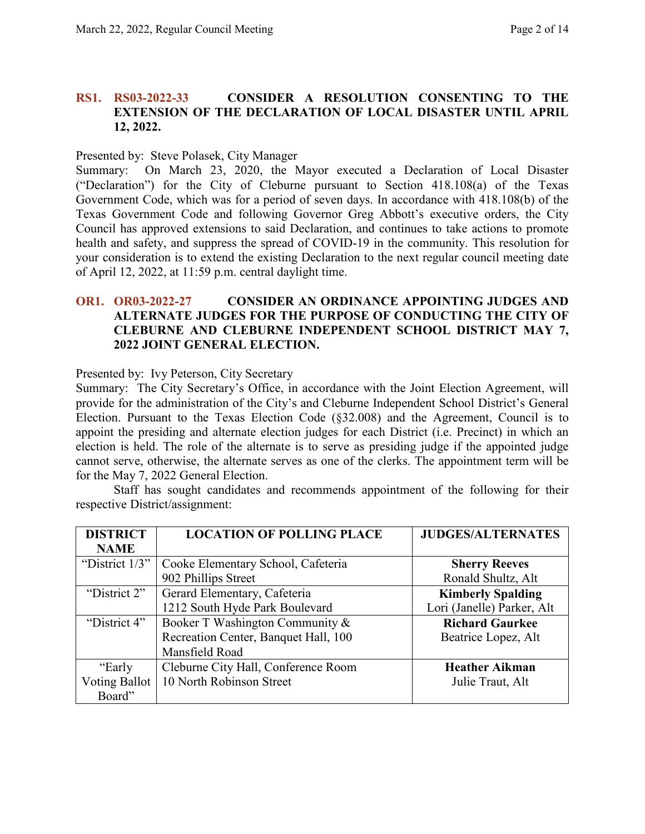## **RS1. RS03-2022-33 CONSIDER A RESOLUTION CONSENTING TO THE EXTENSION OF THE DECLARATION OF LOCAL DISASTER UNTIL APRIL 12, 2022.**

#### Presented by: Steve Polasek, City Manager

Summary: On March 23, 2020, the Mayor executed a Declaration of Local Disaster ("Declaration") for the City of Cleburne pursuant to Section 418.108(a) of the Texas Government Code, which was for a period of seven days. In accordance with 418.108(b) of the Texas Government Code and following Governor Greg Abbott's executive orders, the City Council has approved extensions to said Declaration, and continues to take actions to promote health and safety, and suppress the spread of COVID-19 in the community. This resolution for your consideration is to extend the existing Declaration to the next regular council meeting date of April 12, 2022, at 11:59 p.m. central daylight time.

## **OR1. OR03-2022-27 CONSIDER AN ORDINANCE APPOINTING JUDGES AND ALTERNATE JUDGES FOR THE PURPOSE OF CONDUCTING THE CITY OF CLEBURNE AND CLEBURNE INDEPENDENT SCHOOL DISTRICT MAY 7, 2022 JOINT GENERAL ELECTION.**

#### Presented by: Ivy Peterson, City Secretary

Summary: The City Secretary's Office, in accordance with the Joint Election Agreement, will provide for the administration of the City's and Cleburne Independent School District's General Election. Pursuant to the Texas Election Code (§32.008) and the Agreement, Council is to appoint the presiding and alternate election judges for each District (i.e. Precinct) in which an election is held. The role of the alternate is to serve as presiding judge if the appointed judge cannot serve, otherwise, the alternate serves as one of the clerks. The appointment term will be for the May 7, 2022 General Election.

Staff has sought candidates and recommends appointment of the following for their respective District/assignment:

| <b>DISTRICT</b> | <b>LOCATION OF POLLING PLACE</b>     | <b>JUDGES/ALTERNATES</b>   |
|-----------------|--------------------------------------|----------------------------|
| <b>NAME</b>     |                                      |                            |
| "District 1/3"  | Cooke Elementary School, Cafeteria   | <b>Sherry Reeves</b>       |
|                 | 902 Phillips Street                  | Ronald Shultz, Alt         |
| "District 2"    | Gerard Elementary, Cafeteria         | <b>Kimberly Spalding</b>   |
|                 | 1212 South Hyde Park Boulevard       | Lori (Janelle) Parker, Alt |
| "District 4"    | Booker T Washington Community &      | <b>Richard Gaurkee</b>     |
|                 | Recreation Center, Banquet Hall, 100 | Beatrice Lopez, Alt        |
|                 | Mansfield Road                       |                            |
| "Early          | Cleburne City Hall, Conference Room  | <b>Heather Aikman</b>      |
| Voting Ballot   | 10 North Robinson Street             | Julie Traut, Alt           |
| Board"          |                                      |                            |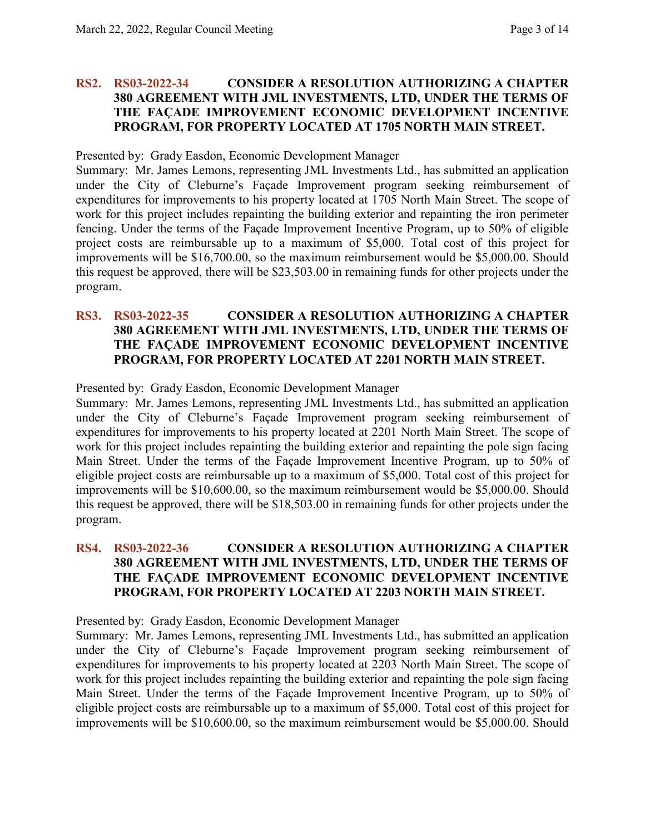#### **RS2. RS03-2022-34 CONSIDER A RESOLUTION AUTHORIZING A CHAPTER 380 AGREEMENT WITH JML INVESTMENTS, LTD, UNDER THE TERMS OF THE FAÇADE IMPROVEMENT ECONOMIC DEVELOPMENT INCENTIVE PROGRAM, FOR PROPERTY LOCATED AT 1705 NORTH MAIN STREET.**

#### Presented by: Grady Easdon, Economic Development Manager

Summary: Mr. James Lemons, representing JML Investments Ltd., has submitted an application under the City of Cleburne's Façade Improvement program seeking reimbursement of expenditures for improvements to his property located at 1705 North Main Street. The scope of work for this project includes repainting the building exterior and repainting the iron perimeter fencing. Under the terms of the Façade Improvement Incentive Program, up to 50% of eligible project costs are reimbursable up to a maximum of \$5,000. Total cost of this project for improvements will be \$16,700.00, so the maximum reimbursement would be \$5,000.00. Should this request be approved, there will be \$23,503.00 in remaining funds for other projects under the program.

#### **RS3. RS03-2022-35 CONSIDER A RESOLUTION AUTHORIZING A CHAPTER 380 AGREEMENT WITH JML INVESTMENTS, LTD, UNDER THE TERMS OF THE FAÇADE IMPROVEMENT ECONOMIC DEVELOPMENT INCENTIVE PROGRAM, FOR PROPERTY LOCATED AT 2201 NORTH MAIN STREET.**

Presented by: Grady Easdon, Economic Development Manager

Summary: Mr. James Lemons, representing JML Investments Ltd., has submitted an application under the City of Cleburne's Façade Improvement program seeking reimbursement of expenditures for improvements to his property located at 2201 North Main Street. The scope of work for this project includes repainting the building exterior and repainting the pole sign facing Main Street. Under the terms of the Façade Improvement Incentive Program, up to 50% of eligible project costs are reimbursable up to a maximum of \$5,000. Total cost of this project for improvements will be \$10,600.00, so the maximum reimbursement would be \$5,000.00. Should this request be approved, there will be \$18,503.00 in remaining funds for other projects under the program.

#### **RS4. RS03-2022-36 CONSIDER A RESOLUTION AUTHORIZING A CHAPTER 380 AGREEMENT WITH JML INVESTMENTS, LTD, UNDER THE TERMS OF THE FAÇADE IMPROVEMENT ECONOMIC DEVELOPMENT INCENTIVE PROGRAM, FOR PROPERTY LOCATED AT 2203 NORTH MAIN STREET.**

Presented by: Grady Easdon, Economic Development Manager

Summary: Mr. James Lemons, representing JML Investments Ltd., has submitted an application under the City of Cleburne's Façade Improvement program seeking reimbursement of expenditures for improvements to his property located at 2203 North Main Street. The scope of work for this project includes repainting the building exterior and repainting the pole sign facing Main Street. Under the terms of the Façade Improvement Incentive Program, up to 50% of eligible project costs are reimbursable up to a maximum of \$5,000. Total cost of this project for improvements will be \$10,600.00, so the maximum reimbursement would be \$5,000.00. Should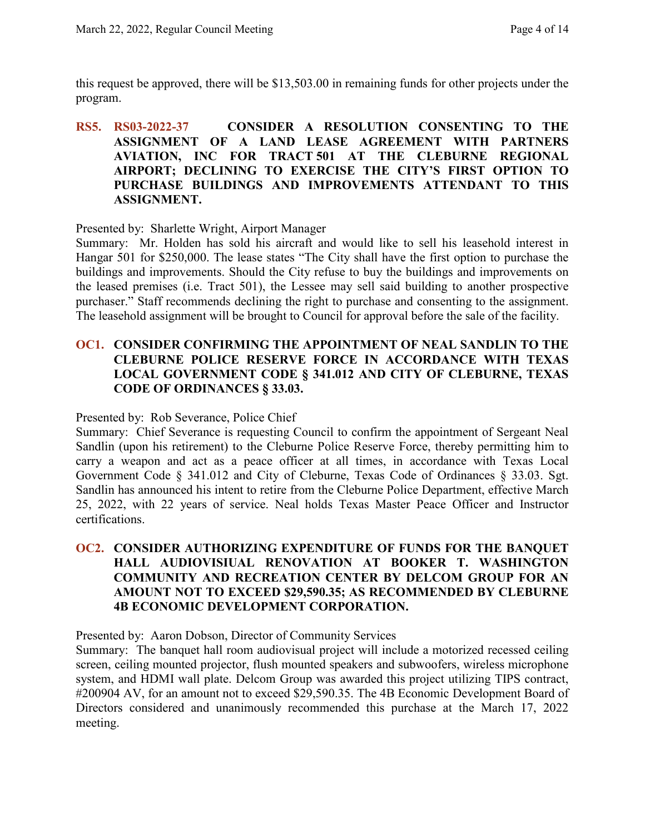this request be approved, there will be \$13,503.00 in remaining funds for other projects under the program.

## **RS5. RS03-2022-37 CONSIDER A RESOLUTION CONSENTING TO THE ASSIGNMENT OF A LAND LEASE AGREEMENT WITH PARTNERS AVIATION, INC FOR TRACT 501 AT THE CLEBURNE REGIONAL AIRPORT; DECLINING TO EXERCISE THE CITY'S FIRST OPTION TO PURCHASE BUILDINGS AND IMPROVEMENTS ATTENDANT TO THIS ASSIGNMENT.**

Presented by: Sharlette Wright, Airport Manager

Summary: Mr. Holden has sold his aircraft and would like to sell his leasehold interest in Hangar 501 for \$250,000. The lease states "The City shall have the first option to purchase the buildings and improvements. Should the City refuse to buy the buildings and improvements on the leased premises (i.e. Tract 501), the Lessee may sell said building to another prospective purchaser." Staff recommends declining the right to purchase and consenting to the assignment. The leasehold assignment will be brought to Council for approval before the sale of the facility.

## **OC1. CONSIDER CONFIRMING THE APPOINTMENT OF NEAL SANDLIN TO THE CLEBURNE POLICE RESERVE FORCE IN ACCORDANCE WITH TEXAS LOCAL GOVERNMENT CODE § 341.012 AND CITY OF CLEBURNE, TEXAS CODE OF ORDINANCES § 33.03.**

Presented by: Rob Severance, Police Chief

Summary: Chief Severance is requesting Council to confirm the appointment of Sergeant Neal Sandlin (upon his retirement) to the Cleburne Police Reserve Force, thereby permitting him to carry a weapon and act as a peace officer at all times, in accordance with Texas Local Government Code § 341.012 and City of Cleburne, Texas Code of Ordinances § 33.03. Sgt. Sandlin has announced his intent to retire from the Cleburne Police Department, effective March 25, 2022, with 22 years of service. Neal holds Texas Master Peace Officer and Instructor certifications.

## **OC2. CONSIDER AUTHORIZING EXPENDITURE OF FUNDS FOR THE BANQUET HALL AUDIOVISIUAL RENOVATION AT BOOKER T. WASHINGTON COMMUNITY AND RECREATION CENTER BY DELCOM GROUP FOR AN AMOUNT NOT TO EXCEED \$29,590.35; AS RECOMMENDED BY CLEBURNE 4B ECONOMIC DEVELOPMENT CORPORATION.**

Presented by: Aaron Dobson, Director of Community Services

Summary: The banquet hall room audiovisual project will include a motorized recessed ceiling screen, ceiling mounted projector, flush mounted speakers and subwoofers, wireless microphone system, and HDMI wall plate. Delcom Group was awarded this project utilizing TIPS contract, #200904 AV, for an amount not to exceed \$29,590.35. The 4B Economic Development Board of Directors considered and unanimously recommended this purchase at the March 17, 2022 meeting.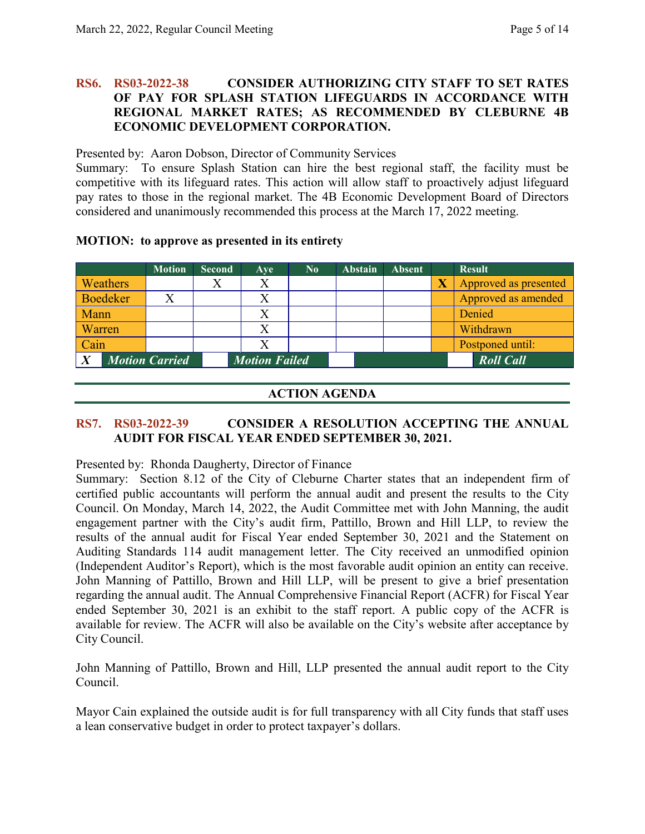#### **RS6. RS03-2022-38 CONSIDER AUTHORIZING CITY STAFF TO SET RATES OF PAY FOR SPLASH STATION LIFEGUARDS IN ACCORDANCE WITH REGIONAL MARKET RATES; AS RECOMMENDED BY CLEBURNE 4B ECONOMIC DEVELOPMENT CORPORATION.**

Presented by: Aaron Dobson, Director of Community Services

Summary: To ensure Splash Station can hire the best regional staff, the facility must be competitive with its lifeguard rates. This action will allow staff to proactively adjust lifeguard pay rates to those in the regional market. The 4B Economic Development Board of Directors considered and unanimously recommended this process at the March 17, 2022 meeting.

| <b>MOTION:</b> to approve as presented in its entirety |  |  |  |
|--------------------------------------------------------|--|--|--|
|                                                        |  |  |  |

|           | <b>Motion</b>         | <b>Second</b> | Ave                  | $\bf No$ | <b>Abstain</b> | <b>Absent</b> |                         | <b>Result</b>         |
|-----------|-----------------------|---------------|----------------------|----------|----------------|---------------|-------------------------|-----------------------|
| Weathers  |                       |               | X                    |          |                |               | $\overline{\textbf{X}}$ | Approved as presented |
| Boedeker  |                       |               |                      |          |                |               |                         | Approved as amended   |
| Mann      |                       |               |                      |          |                |               |                         | Denied                |
| Warren    |                       |               | Χ                    |          |                |               |                         | Withdrawn             |
| Cain      |                       |               |                      |          |                |               |                         | Postponed until:      |
| $\cdot X$ | <b>Motion Carried</b> |               | <b>Motion Failed</b> |          |                |               |                         | <b>Roll Call</b>      |

## **ACTION AGENDA**

# **RS7. RS03-2022-39 CONSIDER A RESOLUTION ACCEPTING THE ANNUAL AUDIT FOR FISCAL YEAR ENDED SEPTEMBER 30, 2021.**

Presented by: Rhonda Daugherty, Director of Finance

Summary: Section 8.12 of the City of Cleburne Charter states that an independent firm of certified public accountants will perform the annual audit and present the results to the City Council. On Monday, March 14, 2022, the Audit Committee met with John Manning, the audit engagement partner with the City's audit firm, Pattillo, Brown and Hill LLP, to review the results of the annual audit for Fiscal Year ended September 30, 2021 and the Statement on Auditing Standards 114 audit management letter. The City received an unmodified opinion (Independent Auditor's Report), which is the most favorable audit opinion an entity can receive. John Manning of Pattillo, Brown and Hill LLP, will be present to give a brief presentation regarding the annual audit. The Annual Comprehensive Financial Report (ACFR) for Fiscal Year ended September 30, 2021 is an exhibit to the staff report. A public copy of the ACFR is available for review. The ACFR will also be available on the City's website after acceptance by City Council.

John Manning of Pattillo, Brown and Hill, LLP presented the annual audit report to the City Council.

Mayor Cain explained the outside audit is for full transparency with all City funds that staff uses a lean conservative budget in order to protect taxpayer's dollars.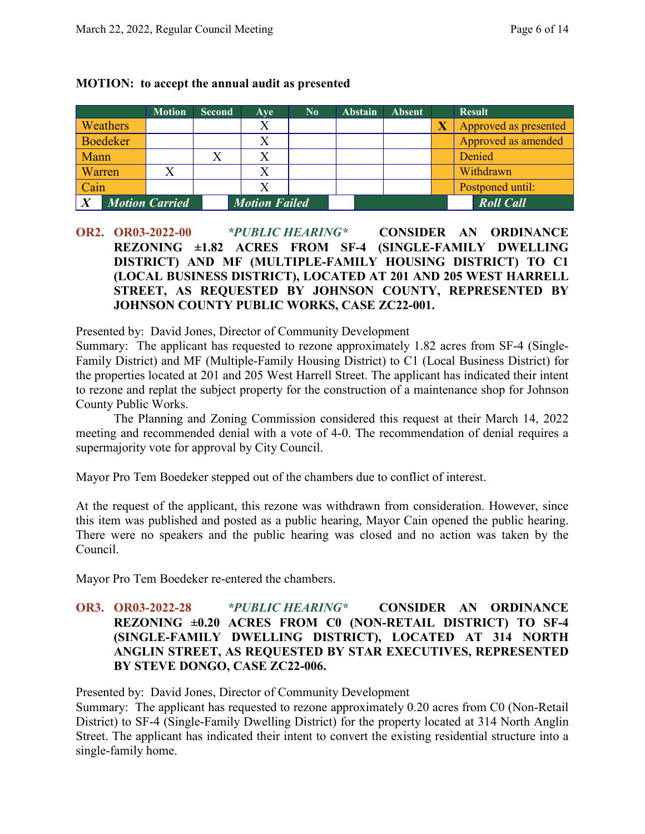|                       | <b>Motion</b> | <b>Second</b> | Ave                  | $\mathbf{N_0}$ | <b>Abstain</b> | <b>Absent</b> |                       | <b>Result</b>         |
|-----------------------|---------------|---------------|----------------------|----------------|----------------|---------------|-----------------------|-----------------------|
| <b>Weathers</b>       |               |               | X                    |                |                |               | $\overline{\text{X}}$ | Approved as presented |
| Boedeker              |               |               |                      |                |                |               |                       | Approved as amended   |
| <b>Mann</b>           |               |               |                      |                |                |               |                       | Denied                |
| <b>Warren</b>         |               |               |                      |                |                |               |                       | Withdrawn             |
| Cain                  |               |               |                      |                |                |               |                       | Postponed until:      |
| <b>Motion Carried</b> |               |               | <b>Motion Failed</b> |                |                |               |                       | <b>Roll Call</b>      |

#### **MOTION: to accept the annual audit as presented**

**OR2. OR03-2022-00** *\*PUBLIC HEARING\** **CONSIDER AN ORDINANCE REZONING ±1.82 ACRES FROM SF-4 (SINGLE-FAMILY DWELLING DISTRICT) AND MF (MULTIPLE-FAMILY HOUSING DISTRICT) TO C1 (LOCAL BUSINESS DISTRICT), LOCATED AT 201 AND 205 WEST HARRELL STREET, AS REQUESTED BY JOHNSON COUNTY, REPRESENTED BY JOHNSON COUNTY PUBLIC WORKS, CASE ZC22-001.**

Presented by: David Jones, Director of Community Development

Summary: The applicant has requested to rezone approximately 1.82 acres from SF-4 (Single-Family District) and MF (Multiple-Family Housing District) to C1 (Local Business District) for the properties located at 201 and 205 West Harrell Street. The applicant has indicated their intent to rezone and replat the subject property for the construction of a maintenance shop for Johnson County Public Works.

The Planning and Zoning Commission considered this request at their March 14, 2022 meeting and recommended denial with a vote of 4-0. The recommendation of denial requires a supermajority vote for approval by City Council.

Mayor Pro Tem Boedeker stepped out of the chambers due to conflict of interest.

At the request of the applicant, this rezone was withdrawn from consideration. However, since this item was published and posted as a public hearing, Mayor Cain opened the public hearing. There were no speakers and the public hearing was closed and no action was taken by the Council.

Mayor Pro Tem Boedeker re-entered the chambers.

## **OR3. OR03-2022-28** *\*PUBLIC HEARING\** **CONSIDER AN ORDINANCE REZONING ±0.20 ACRES FROM C0 (NON-RETAIL DISTRICT) TO SF-4 (SINGLE-FAMILY DWELLING DISTRICT), LOCATED AT 314 NORTH ANGLIN STREET, AS REQUESTED BY STAR EXECUTIVES, REPRESENTED BY STEVE DONGO, CASE ZC22-006.**

Presented by: David Jones, Director of Community Development

Summary: The applicant has requested to rezone approximately 0.20 acres from C0 (Non-Retail District) to SF-4 (Single-Family Dwelling District) for the property located at 314 North Anglin Street. The applicant has indicated their intent to convert the existing residential structure into a single-family home.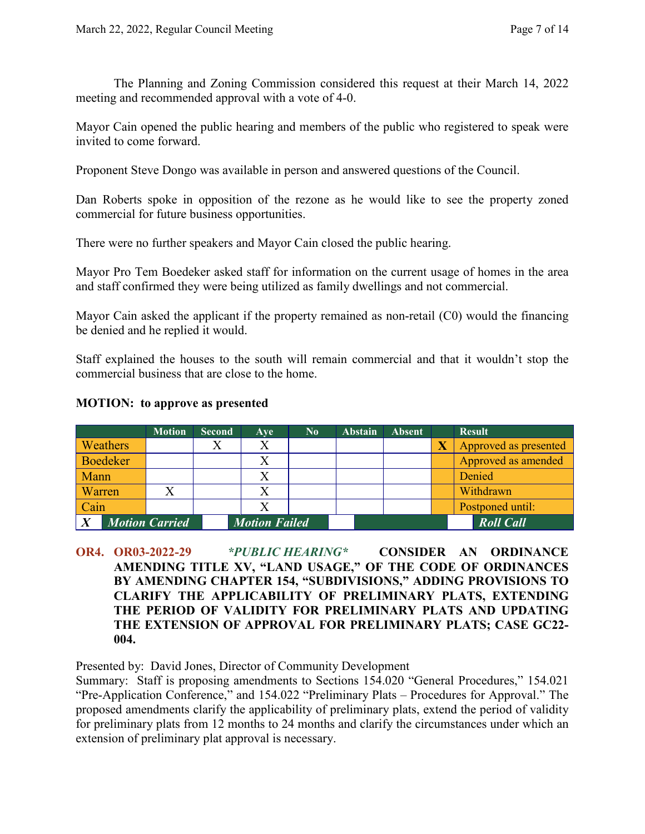The Planning and Zoning Commission considered this request at their March 14, 2022 meeting and recommended approval with a vote of 4-0.

Mayor Cain opened the public hearing and members of the public who registered to speak were invited to come forward.

Proponent Steve Dongo was available in person and answered questions of the Council.

Dan Roberts spoke in opposition of the rezone as he would like to see the property zoned commercial for future business opportunities.

There were no further speakers and Mayor Cain closed the public hearing.

Mayor Pro Tem Boedeker asked staff for information on the current usage of homes in the area and staff confirmed they were being utilized as family dwellings and not commercial.

Mayor Cain asked the applicant if the property remained as non-retail (C0) would the financing be denied and he replied it would.

Staff explained the houses to the south will remain commercial and that it wouldn't stop the commercial business that are close to the home.

|                       | <b>Motion</b> | <b>Second</b> | Ave                  | $\bf No$ | <b>Abstain</b> | <b>Absent</b> | <b>Result</b>         |
|-----------------------|---------------|---------------|----------------------|----------|----------------|---------------|-----------------------|
| <b>Weathers</b>       |               |               |                      |          |                |               | Approved as presented |
| Boedeker              |               |               |                      |          |                |               | Approved as amended   |
| <b>Mann</b>           |               |               |                      |          |                |               | Denied                |
| <b>Warren</b>         |               |               |                      |          |                |               | Withdrawn             |
| Cain                  |               |               |                      |          |                |               | Postponed until:      |
| <b>Motion Carried</b> |               |               | <b>Motion Failed</b> |          |                |               | <b>Roll Call</b>      |

#### **MOTION: to approve as presented**

**OR4. OR03-2022-29** *\*PUBLIC HEARING\** **CONSIDER AN ORDINANCE AMENDING TITLE XV, "LAND USAGE," OF THE CODE OF ORDINANCES BY AMENDING CHAPTER 154, "SUBDIVISIONS," ADDING PROVISIONS TO CLARIFY THE APPLICABILITY OF PRELIMINARY PLATS, EXTENDING THE PERIOD OF VALIDITY FOR PRELIMINARY PLATS AND UPDATING THE EXTENSION OF APPROVAL FOR PRELIMINARY PLATS; CASE GC22- 004.**

Presented by: David Jones, Director of Community Development

Summary: Staff is proposing amendments to Sections 154.020 "General Procedures," 154.021 "Pre-Application Conference," and 154.022 "Preliminary Plats – Procedures for Approval." The proposed amendments clarify the applicability of preliminary plats, extend the period of validity for preliminary plats from 12 months to 24 months and clarify the circumstances under which an extension of preliminary plat approval is necessary.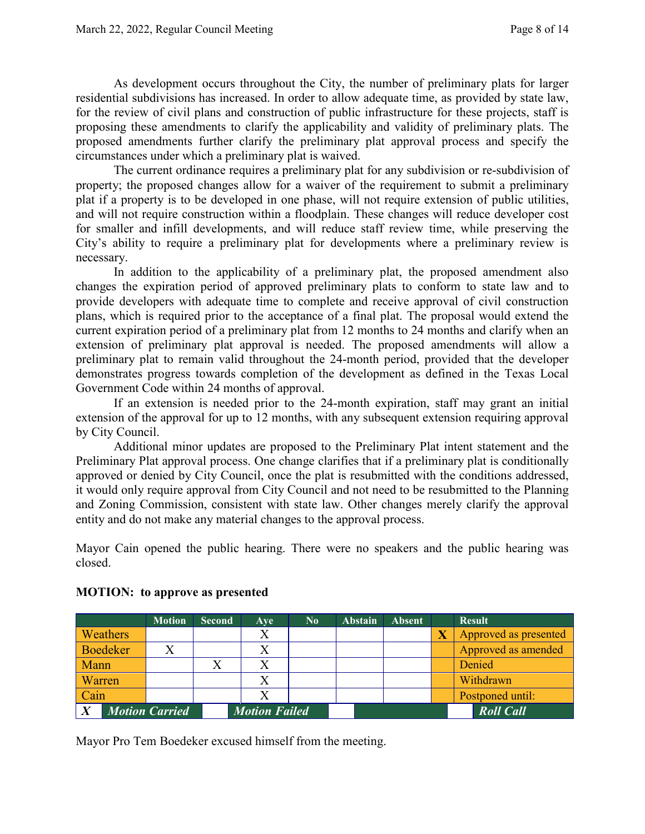As development occurs throughout the City, the number of preliminary plats for larger residential subdivisions has increased. In order to allow adequate time, as provided by state law, for the review of civil plans and construction of public infrastructure for these projects, staff is proposing these amendments to clarify the applicability and validity of preliminary plats. The proposed amendments further clarify the preliminary plat approval process and specify the circumstances under which a preliminary plat is waived.

The current ordinance requires a preliminary plat for any subdivision or re-subdivision of property; the proposed changes allow for a waiver of the requirement to submit a preliminary plat if a property is to be developed in one phase, will not require extension of public utilities, and will not require construction within a floodplain. These changes will reduce developer cost for smaller and infill developments, and will reduce staff review time, while preserving the City's ability to require a preliminary plat for developments where a preliminary review is necessary.

In addition to the applicability of a preliminary plat, the proposed amendment also changes the expiration period of approved preliminary plats to conform to state law and to provide developers with adequate time to complete and receive approval of civil construction plans, which is required prior to the acceptance of a final plat. The proposal would extend the current expiration period of a preliminary plat from 12 months to 24 months and clarify when an extension of preliminary plat approval is needed. The proposed amendments will allow a preliminary plat to remain valid throughout the 24-month period, provided that the developer demonstrates progress towards completion of the development as defined in the Texas Local Government Code within 24 months of approval.

If an extension is needed prior to the 24-month expiration, staff may grant an initial extension of the approval for up to 12 months, with any subsequent extension requiring approval by City Council.

Additional minor updates are proposed to the Preliminary Plat intent statement and the Preliminary Plat approval process. One change clarifies that if a preliminary plat is conditionally approved or denied by City Council, once the plat is resubmitted with the conditions addressed, it would only require approval from City Council and not need to be resubmitted to the Planning and Zoning Commission, consistent with state law. Other changes merely clarify the approval entity and do not make any material changes to the approval process.

Mayor Cain opened the public hearing. There were no speakers and the public hearing was closed.

|                       |          | <b>Motion</b> | <b>Second</b>        | <b>Ave</b> | $\bf No$ | <b>Abstain</b> | <b>Absent</b>    | <b>Result</b>         |
|-----------------------|----------|---------------|----------------------|------------|----------|----------------|------------------|-----------------------|
|                       | Weathers |               |                      | $\rm X$    |          |                |                  | Approved as presented |
|                       | Boedeker |               |                      |            |          |                |                  | Approved as amended   |
| Mann                  |          |               |                      |            |          |                |                  | Denied                |
| Warren                |          |               |                      |            |          |                |                  | Withdrawn             |
| Cain                  |          |               |                      |            |          |                |                  | Postponed until:      |
| <b>Motion Carried</b> |          |               | <b>Motion Failed</b> |            |          |                | <b>Roll Call</b> |                       |

#### **MOTION: to approve as presented**

Mayor Pro Tem Boedeker excused himself from the meeting.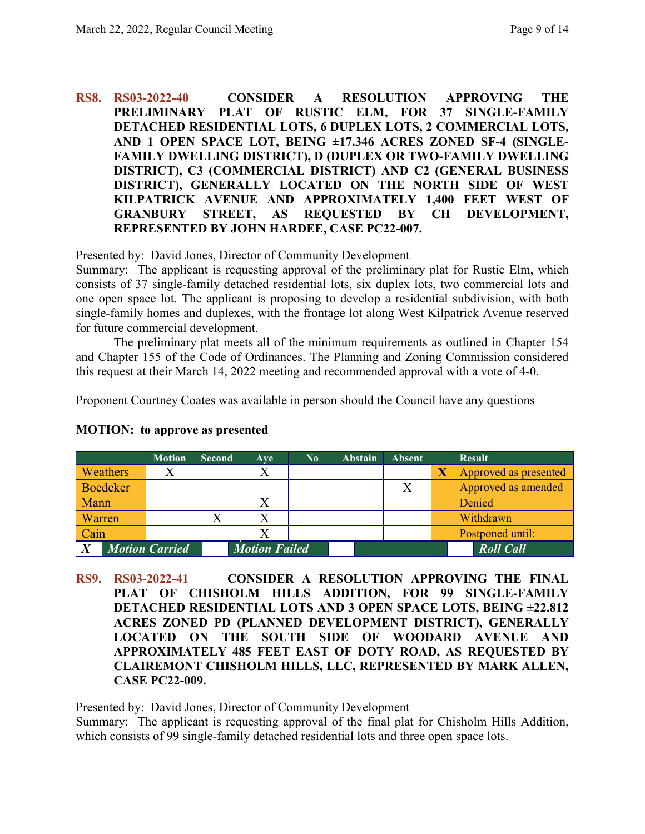## **RS8. RS03-2022-40 CONSIDER A RESOLUTION APPROVING THE PRELIMINARY PLAT OF RUSTIC ELM, FOR 37 SINGLE-FAMILY DETACHED RESIDENTIAL LOTS, 6 DUPLEX LOTS, 2 COMMERCIAL LOTS, AND 1 OPEN SPACE LOT, BEING ±17.346 ACRES ZONED SF-4 (SINGLE-FAMILY DWELLING DISTRICT), D (DUPLEX OR TWO-FAMILY DWELLING DISTRICT), C3 (COMMERCIAL DISTRICT) AND C2 (GENERAL BUSINESS DISTRICT), GENERALLY LOCATED ON THE NORTH SIDE OF WEST KILPATRICK AVENUE AND APPROXIMATELY 1,400 FEET WEST OF GRANBURY STREET, AS REQUESTED BY CH DEVELOPMENT, REPRESENTED BY JOHN HARDEE, CASE PC22-007.**

Presented by: David Jones, Director of Community Development

Summary: The applicant is requesting approval of the preliminary plat for Rustic Elm, which consists of 37 single-family detached residential lots, six duplex lots, two commercial lots and one open space lot. The applicant is proposing to develop a residential subdivision, with both single-family homes and duplexes, with the frontage lot along West Kilpatrick Avenue reserved for future commercial development.

The preliminary plat meets all of the minimum requirements as outlined in Chapter 154 and Chapter 155 of the Code of Ordinances. The Planning and Zoning Commission considered this request at their March 14, 2022 meeting and recommended approval with a vote of 4-0.

Proponent Courtney Coates was available in person should the Council have any questions

|                  |                 | <b>Motion</b>         | <b>Second</b> | Ave                  | $\bf No$ | <b>Abstain</b> | <b>Absent</b> | <b>Result</b>         |
|------------------|-----------------|-----------------------|---------------|----------------------|----------|----------------|---------------|-----------------------|
|                  | <b>Weathers</b> |                       |               |                      |          |                |               | Approved as presented |
|                  | Boedeker        |                       |               |                      |          |                |               | Approved as amended   |
| <b>Mann</b>      |                 |                       |               |                      |          |                |               | Denied                |
| <b>Warren</b>    |                 |                       |               |                      |          |                |               | Withdrawn             |
| $\vert$ Cain     |                 |                       |               |                      |          |                |               | Postponed until:      |
| $\boldsymbol{X}$ |                 | <b>Motion Carried</b> |               | <b>Motion Failed</b> |          |                |               | <b>Roll Call</b>      |

## **MOTION: to approve as presented**

**RS9. RS03-2022-41 CONSIDER A RESOLUTION APPROVING THE FINAL PLAT OF CHISHOLM HILLS ADDITION, FOR 99 SINGLE-FAMILY DETACHED RESIDENTIAL LOTS AND 3 OPEN SPACE LOTS, BEING ±22.812 ACRES ZONED PD (PLANNED DEVELOPMENT DISTRICT), GENERALLY LOCATED ON THE SOUTH SIDE OF WOODARD AVENUE AND APPROXIMATELY 485 FEET EAST OF DOTY ROAD, AS REQUESTED BY CLAIREMONT CHISHOLM HILLS, LLC, REPRESENTED BY MARK ALLEN, CASE PC22-009.**

Presented by: David Jones, Director of Community Development

Summary: The applicant is requesting approval of the final plat for Chisholm Hills Addition, which consists of 99 single-family detached residential lots and three open space lots.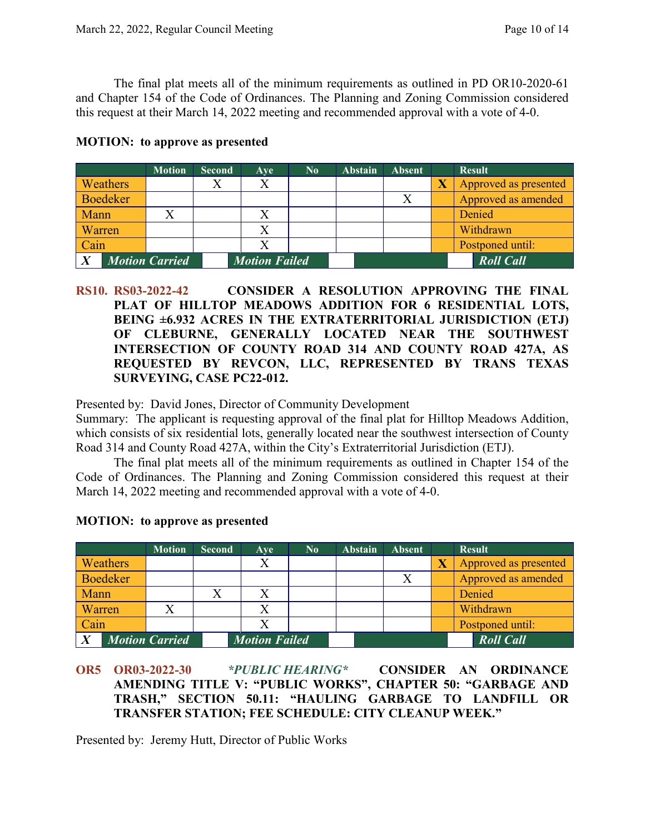The final plat meets all of the minimum requirements as outlined in PD OR10-2020-61 and Chapter 154 of the Code of Ordinances. The Planning and Zoning Commission considered this request at their March 14, 2022 meeting and recommended approval with a vote of 4-0.

|        |                 | <b>Motion</b>         | <b>Second</b> | Ave                  | $\bf No$ | <b>Abstain</b> | <b>Absent</b> | <b>Result</b>         |
|--------|-----------------|-----------------------|---------------|----------------------|----------|----------------|---------------|-----------------------|
|        | <b>Weathers</b> |                       |               |                      |          |                |               | Approved as presented |
|        | <b>Boedeker</b> |                       |               |                      |          |                | X             | Approved as amended   |
| Mann   |                 |                       |               |                      |          |                |               | Denied                |
| Warren |                 |                       |               |                      |          |                |               | Withdrawn             |
| Cain   |                 |                       |               |                      |          |                |               | Postponed until:      |
|        |                 | <b>Motion Carried</b> |               | <b>Motion Failed</b> |          |                |               | <b>Roll Call</b>      |

#### **MOTION: to approve as presented**

**RS10. RS03-2022-42 CONSIDER A RESOLUTION APPROVING THE FINAL PLAT OF HILLTOP MEADOWS ADDITION FOR 6 RESIDENTIAL LOTS, BEING ±6.932 ACRES IN THE EXTRATERRITORIAL JURISDICTION (ETJ) OF CLEBURNE, GENERALLY LOCATED NEAR THE SOUTHWEST INTERSECTION OF COUNTY ROAD 314 AND COUNTY ROAD 427A, AS REQUESTED BY REVCON, LLC, REPRESENTED BY TRANS TEXAS SURVEYING, CASE PC22-012.**

Presented by: David Jones, Director of Community Development

Summary: The applicant is requesting approval of the final plat for Hilltop Meadows Addition, which consists of six residential lots, generally located near the southwest intersection of County Road 314 and County Road 427A, within the City's Extraterritorial Jurisdiction (ETJ).

The final plat meets all of the minimum requirements as outlined in Chapter 154 of the Code of Ordinances. The Planning and Zoning Commission considered this request at their March 14, 2022 meeting and recommended approval with a vote of 4-0.

|                |                 | <b>Motion</b>         | <b>Second</b> | Ave                  | $\bf No$ | <b>Abstain</b> | <b>Absent</b> |                         | <b>Result</b>         |
|----------------|-----------------|-----------------------|---------------|----------------------|----------|----------------|---------------|-------------------------|-----------------------|
|                | Weathers        |                       |               | X                    |          |                |               | $\overline{\mathbf{X}}$ | Approved as presented |
|                | <b>Boedeker</b> |                       |               |                      |          |                |               |                         | Approved as amended   |
| Mann           |                 |                       |               |                      |          |                |               |                         | Denied                |
| Warren         |                 |                       |               | Χ                    |          |                |               |                         | Withdrawn             |
| Cain           |                 |                       |               | Х                    |          |                |               |                         | Postponed until:      |
| $\overline{X}$ |                 | <b>Motion Carried</b> |               | <b>Motion Failed</b> |          |                |               |                         | <b>Roll Call</b>      |

#### **MOTION: to approve as presented**

Presented by: Jeremy Hutt, Director of Public Works

**OR5 OR03-2022-30** *\*PUBLIC HEARING\** **CONSIDER AN ORDINANCE AMENDING TITLE V: "PUBLIC WORKS", CHAPTER 50: "GARBAGE AND TRASH," SECTION 50.11: "HAULING GARBAGE TO LANDFILL OR TRANSFER STATION; FEE SCHEDULE: CITY CLEANUP WEEK."**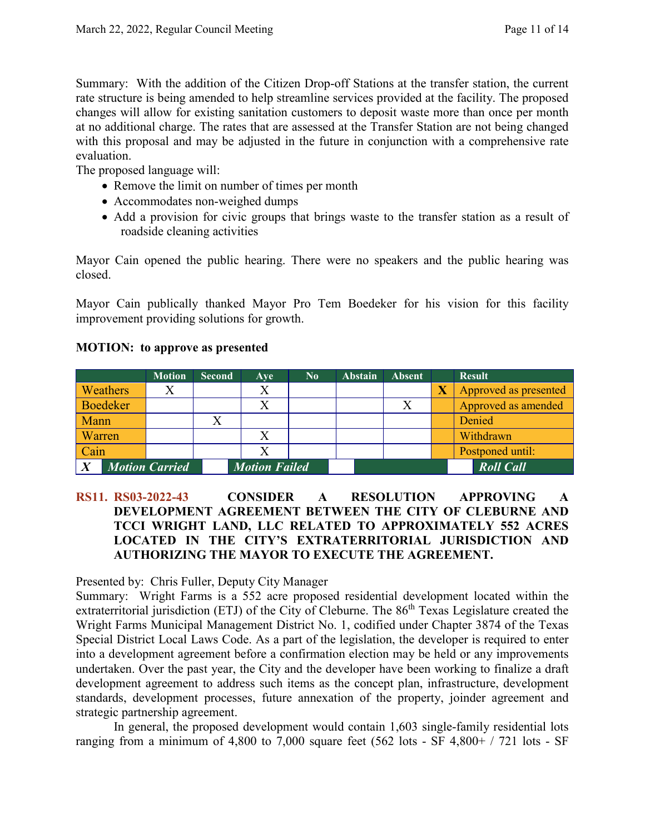Summary: With the addition of the Citizen Drop-off Stations at the transfer station, the current rate structure is being amended to help streamline services provided at the facility. The proposed changes will allow for existing sanitation customers to deposit waste more than once per month at no additional charge. The rates that are assessed at the Transfer Station are not being changed with this proposal and may be adjusted in the future in conjunction with a comprehensive rate evaluation.

The proposed language will:

- Remove the limit on number of times per month
- Accommodates non-weighed dumps
- Add a provision for civic groups that brings waste to the transfer station as a result of roadside cleaning activities

Mayor Cain opened the public hearing. There were no speakers and the public hearing was closed.

Mayor Cain publically thanked Mayor Pro Tem Boedeker for his vision for this facility improvement providing solutions for growth.

## **MOTION: to approve as presented**

|          | <b>Motion</b>         | <b>Second</b> | Ave                  | $\bf No$ | <b>Abstain</b> | <b>Absent</b> | <b>Result</b>         |
|----------|-----------------------|---------------|----------------------|----------|----------------|---------------|-----------------------|
| Weathers |                       |               |                      |          |                |               | Approved as presented |
| Boedeker |                       |               |                      |          |                |               | Approved as amended   |
| Mann     |                       |               |                      |          |                |               | Denied                |
| Warren   |                       |               |                      |          |                |               | Withdrawn             |
| Cain     |                       |               |                      |          |                |               | Postponed until:      |
|          | <b>Motion Carried</b> |               | <b>Motion Failed</b> |          |                |               | <b>Roll Call</b>      |

# **RS11. RS03-2022-43 CONSIDER A RESOLUTION APPROVING A DEVELOPMENT AGREEMENT BETWEEN THE CITY OF CLEBURNE AND TCCI WRIGHT LAND, LLC RELATED TO APPROXIMATELY 552 ACRES LOCATED IN THE CITY'S EXTRATERRITORIAL JURISDICTION AND AUTHORIZING THE MAYOR TO EXECUTE THE AGREEMENT.**

Presented by: Chris Fuller, Deputy City Manager

Summary: Wright Farms is a 552 acre proposed residential development located within the extraterritorial jurisdiction (ETJ) of the City of Cleburne. The 86<sup>th</sup> Texas Legislature created the Wright Farms Municipal Management District No. 1, codified under Chapter 3874 of the Texas Special District Local Laws Code. As a part of the legislation, the developer is required to enter into a development agreement before a confirmation election may be held or any improvements undertaken. Over the past year, the City and the developer have been working to finalize a draft development agreement to address such items as the concept plan, infrastructure, development standards, development processes, future annexation of the property, joinder agreement and strategic partnership agreement.

In general, the proposed development would contain 1,603 single-family residential lots ranging from a minimum of 4,800 to 7,000 square feet (562 lots - SF 4,800+ / 721 lots - SF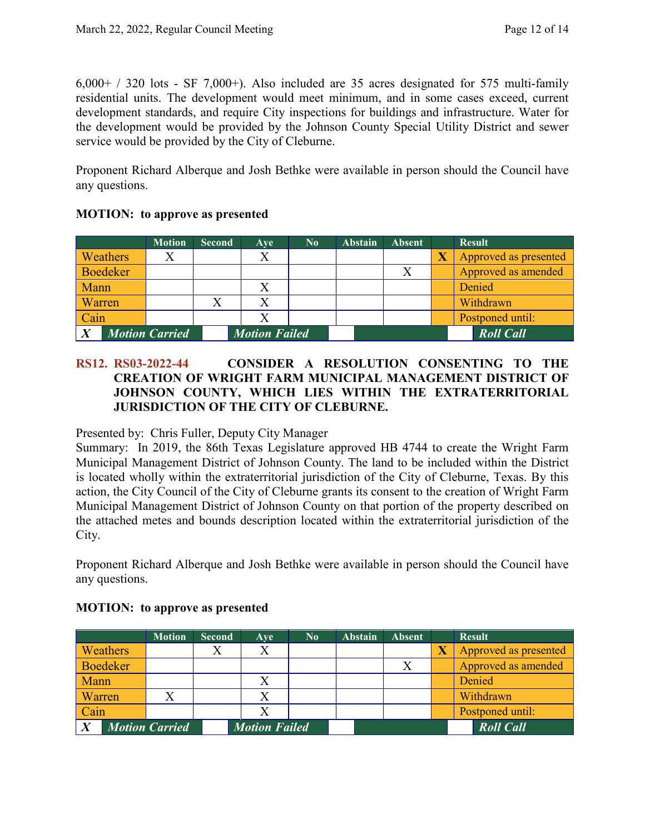$6,000+$  / 320 lots - SF 7,000+). Also included are 35 acres designated for 575 multi-family residential units. The development would meet minimum, and in some cases exceed, current development standards, and require City inspections for buildings and infrastructure. Water for the development would be provided by the Johnson County Special Utility District and sewer service would be provided by the City of Cleburne.

Proponent Richard Alberque and Josh Bethke were available in person should the Council have any questions.

|                 | <b>Motion</b>         | <b>Second</b> | Ave                  | $\bf No$ | <b>Abstain</b> | <b>Absent</b> | <b>Result</b>         |
|-----------------|-----------------------|---------------|----------------------|----------|----------------|---------------|-----------------------|
| Weathers        |                       |               | Х                    |          |                |               | Approved as presented |
| <b>Boedeker</b> |                       |               |                      |          |                |               | Approved as amended   |
| Mann            |                       |               |                      |          |                |               | Denied                |
| Warren          |                       |               |                      |          |                |               | Withdrawn             |
| Cain            |                       |               |                      |          |                |               | Postponed until:      |
|                 | <b>Motion Carried</b> |               | <b>Motion Failed</b> |          |                |               | <b>Roll Call</b>      |

## **MOTION: to approve as presented**

# **RS12. RS03-2022-44 CONSIDER A RESOLUTION CONSENTING TO THE CREATION OF WRIGHT FARM MUNICIPAL MANAGEMENT DISTRICT OF JOHNSON COUNTY, WHICH LIES WITHIN THE EXTRATERRITORIAL JURISDICTION OF THE CITY OF CLEBURNE.**

#### Presented by: Chris Fuller, Deputy City Manager

Summary: In 2019, the 86th Texas Legislature approved HB 4744 to create the Wright Farm Municipal Management District of Johnson County. The land to be included within the District is located wholly within the extraterritorial jurisdiction of the City of Cleburne, Texas. By this action, the City Council of the City of Cleburne grants its consent to the creation of Wright Farm Municipal Management District of Johnson County on that portion of the property described on the attached metes and bounds description located within the extraterritorial jurisdiction of the City.

Proponent Richard Alberque and Josh Bethke were available in person should the Council have any questions.

|        |                 | <b>Motion</b>         | <b>Second</b> | Ave                  | $\bf No$ | <b>Abstain</b> | <b>Absent</b> | <b>Result</b>         |
|--------|-----------------|-----------------------|---------------|----------------------|----------|----------------|---------------|-----------------------|
|        | Weathers        |                       |               |                      |          |                |               | Approved as presented |
|        | <b>Boedeker</b> |                       |               |                      |          |                | X             | Approved as amended   |
| Mann   |                 |                       |               |                      |          |                |               | Denied                |
| Warren |                 |                       |               |                      |          |                |               | Withdrawn             |
| Cain   |                 |                       |               |                      |          |                |               | Postponed until:      |
|        |                 | <b>Motion Carried</b> |               | <b>Motion Failed</b> |          |                |               | <b>Roll Call</b>      |

## **MOTION: to approve as presented**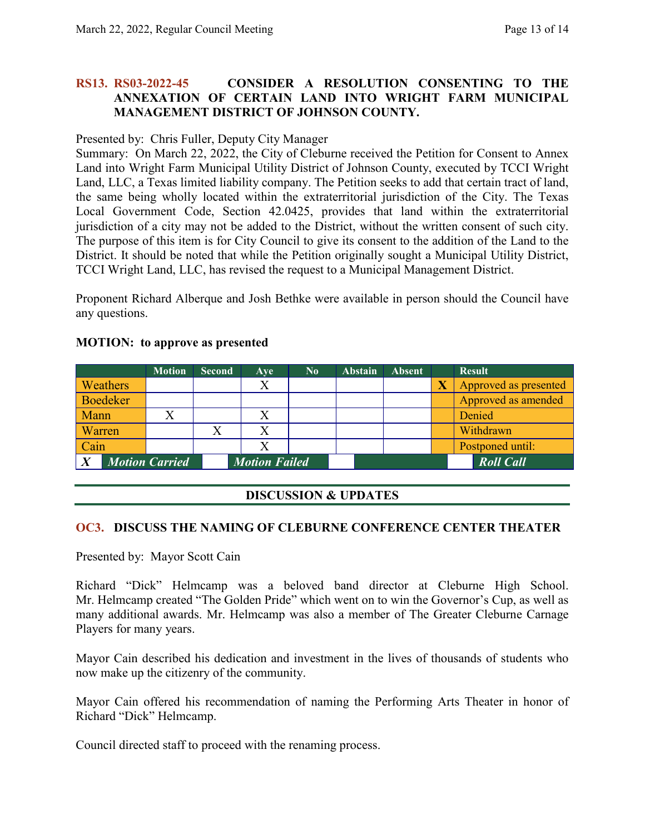## **RS13. RS03-2022-45 CONSIDER A RESOLUTION CONSENTING TO THE ANNEXATION OF CERTAIN LAND INTO WRIGHT FARM MUNICIPAL MANAGEMENT DISTRICT OF JOHNSON COUNTY.**

#### Presented by: Chris Fuller, Deputy City Manager

Summary: On March 22, 2022, the City of Cleburne received the Petition for Consent to Annex Land into Wright Farm Municipal Utility District of Johnson County, executed by TCCI Wright Land, LLC, a Texas limited liability company. The Petition seeks to add that certain tract of land, the same being wholly located within the extraterritorial jurisdiction of the City. The Texas Local Government Code, Section 42.0425, provides that land within the extraterritorial jurisdiction of a city may not be added to the District, without the written consent of such city. The purpose of this item is for City Council to give its consent to the addition of the Land to the District. It should be noted that while the Petition originally sought a Municipal Utility District, TCCI Wright Land, LLC, has revised the request to a Municipal Management District.

Proponent Richard Alberque and Josh Bethke were available in person should the Council have any questions.

# **MOTION: to approve as presented**

|                 | <b>Motion</b>         | <b>Second</b> | Ave                  | $\bf No$ | <b>Abstain</b> | <b>Absent</b> | <b>Result</b>         |
|-----------------|-----------------------|---------------|----------------------|----------|----------------|---------------|-----------------------|
| Weathers        |                       |               |                      |          |                |               | Approved as presented |
| <b>Boedeker</b> |                       |               |                      |          |                |               | Approved as amended   |
| Mann            |                       |               |                      |          |                |               | Denied                |
| Warren          |                       |               |                      |          |                |               | Withdrawn             |
| Cain            |                       |               |                      |          |                |               | Postponed until:      |
| $\overline{X}$  | <b>Motion Carried</b> |               | <b>Motion Failed</b> |          |                |               | <b>Roll Call</b>      |

## **DISCUSSION & UPDATES**

#### **OC3. DISCUSS THE NAMING OF CLEBURNE CONFERENCE CENTER THEATER**

Presented by: Mayor Scott Cain

Richard "Dick" Helmcamp was a beloved band director at Cleburne High School. Mr. Helmcamp created "The Golden Pride" which went on to win the Governor's Cup, as well as many additional awards. Mr. Helmcamp was also a member of The Greater Cleburne Carnage Players for many years.

Mayor Cain described his dedication and investment in the lives of thousands of students who now make up the citizenry of the community.

Mayor Cain offered his recommendation of naming the Performing Arts Theater in honor of Richard "Dick" Helmcamp.

Council directed staff to proceed with the renaming process.